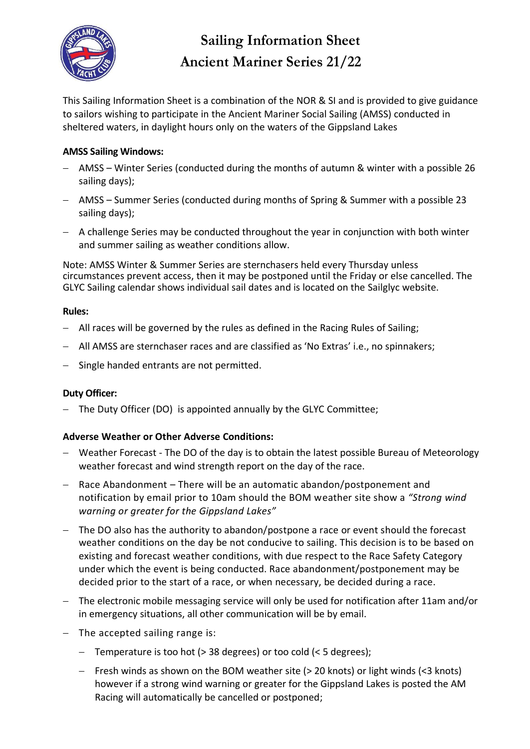

# **Sailing Information Sheet Ancient Mariner Series 21/22**

This Sailing Information Sheet is a combination of the NOR & SI and is provided to give guidance to sailors wishing to participate in the Ancient Mariner Social Sailing (AMSS) conducted in sheltered waters, in daylight hours only on the waters of the Gippsland Lakes

# **AMSS Sailing Windows:**

- − AMSS Winter Series (conducted during the months of autumn & winter with a possible 26 sailing days);
- − AMSS Summer Series (conducted during months of Spring & Summer with a possible 23 sailing days);
- − A challenge Series may be conducted throughout the year in conjunction with both winter and summer sailing as weather conditions allow.

Note: AMSS Winter & Summer Series are sternchasers held every Thursday unless circumstances prevent access, then it may be postponed until the Friday or else cancelled. The GLYC Sailing calendar shows individual sail dates and is located on the Sailglyc website.

### **Rules:**

- − All races will be governed by the rules as defined in the Racing Rules of Sailing;
- − All AMSS are sternchaser races and are classified as 'No Extras' i.e., no spinnakers;
- − Single handed entrants are not permitted.

## **Duty Officer:**

− The Duty Officer (DO) is appointed annually by the GLYC Committee;

## **Adverse Weather or Other Adverse Conditions:**

- − Weather Forecast The DO of the day is to obtain the latest possible Bureau of Meteorology weather forecast and wind strength report on the day of the race.
- − Race Abandonment There will be an automatic abandon/postponement and notification by email prior to 10am should the BOM weather site show a *"Strong wind warning or greater for the Gippsland Lakes"*
- − The DO also has the authority to abandon/postpone a race or event should the forecast weather conditions on the day be not conducive to sailing. This decision is to be based on existing and forecast weather conditions, with due respect to the Race Safety Category under which the event is being conducted. Race abandonment/postponement may be decided prior to the start of a race, or when necessary, be decided during a race.
- − The electronic mobile messaging service will only be used for notification after 11am and/or in emergency situations, all other communication will be by email.
- − The accepted sailing range is:
	- − Temperature is too hot (> 38 degrees) or too cold (< 5 degrees);
	- − Fresh winds as shown on the BOM weather site (> 20 knots) or light winds (<3 knots) however if a strong wind warning or greater for the Gippsland Lakes is posted the AM Racing will automatically be cancelled or postponed;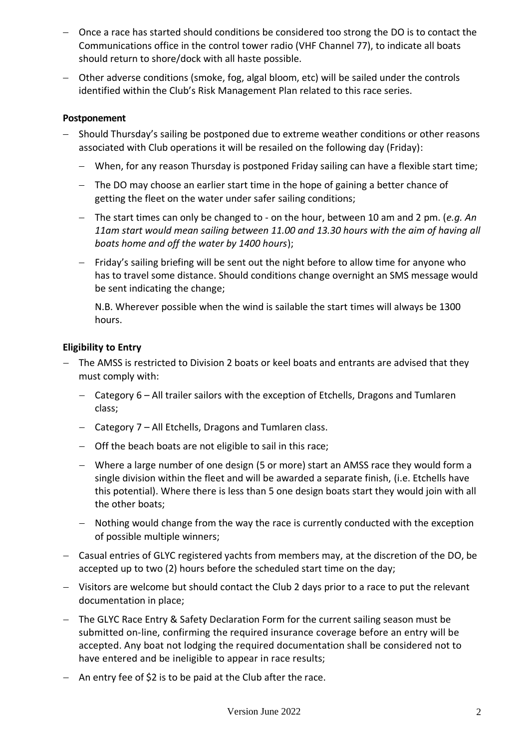- − Once a race has started should conditions be considered too strong the DO is to contact the Communications office in the control tower radio (VHF Channel 77), to indicate all boats should return to shore/dock with all haste possible.
- − Other adverse conditions (smoke, fog, algal bloom, etc) will be sailed under the controls identified within the Club's Risk Management Plan related to this race series.

#### **Postponement**

- − Should Thursday's sailing be postponed due to extreme weather conditions or other reasons associated with Club operations it will be resailed on the following day (Friday):
	- − When, for any reason Thursday is postponed Friday sailing can have a flexible start time;
	- − The DO may choose an earlier start time in the hope of gaining a better chance of getting the fleet on the water under safer sailing conditions;
	- − The start times can only be changed to on the hour, between 10 am and 2 pm. (*e.g. An 11am start would mean sailing between 11.00 and 13.30 hours with the aim of having all boats home and off the water by 1400 hours*);
	- − Friday's sailing briefing will be sent out the night before to allow time for anyone who has to travel some distance. Should conditions change overnight an SMS message would be sent indicating the change;

N.B. Wherever possible when the wind is sailable the start times will always be 1300 hours.

### **Eligibility to Entry**

- − The AMSS is restricted to Division 2 boats or keel boats and entrants are advised that they must comply with:
	- − Category 6 All trailer sailors with the exception of Etchells, Dragons and Tumlaren class;
	- − Category 7 All Etchells, Dragons and Tumlaren class.
	- − Off the beach boats are not eligible to sail in this race;
	- − Where a large number of one design (5 or more) start an AMSS race they would form a single division within the fleet and will be awarded a separate finish, (i.e. Etchells have this potential). Where there is less than 5 one design boats start they would join with all the other boats;
	- − Nothing would change from the way the race is currently conducted with the exception of possible multiple winners;
- − Casual entries of GLYC registered yachts from members may, at the discretion of the DO, be accepted up to two (2) hours before the scheduled start time on the day;
- − Visitors are welcome but should contact the Club 2 days prior to a race to put the relevant documentation in place;
- − The GLYC Race Entry & Safety Declaration Form for the current sailing season must be submitted on-line, confirming the required insurance coverage before an entry will be accepted. Any boat not lodging the required documentation shall be considered not to have entered and be ineligible to appear in race results;
- − An entry fee of \$2 is to be paid at the Club after the race.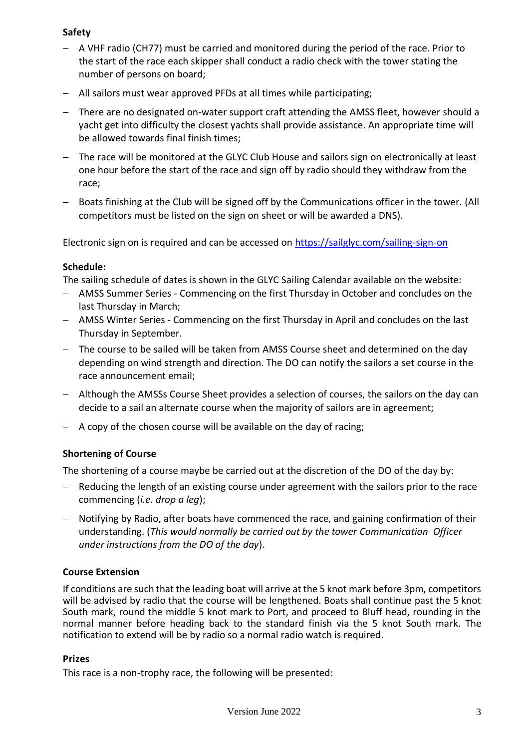# **Safety**

- − A VHF radio (CH77) must be carried and monitored during the period of the race. Prior to the start of the race each skipper shall conduct a radio check with the tower stating the number of persons on board;
- − All sailors must wear approved PFDs at all times while participating;
- − There are no designated on-water support craft attending the AMSS fleet, however should a yacht get into difficulty the closest yachts shall provide assistance. An appropriate time will be allowed towards final finish times;
- − The race will be monitored at the GLYC Club House and sailors sign on electronically at least one hour before the start of the race and sign off by radio should they withdraw from the race;
- − Boats finishing at the Club will be signed off by the Communications officer in the tower. (All competitors must be listed on the sign on sheet or will be awarded a DNS).

Electronic sign on is required and can be accessed on [https://sailglyc.com/sailing-sign-on](https://sailglyc.com/sailing-sign-on/)

## **Schedule:**

The sailing schedule of dates is shown in the GLYC Sailing Calendar available on the website:

- − AMSS Summer Series Commencing on the first Thursday in October and concludes on the last Thursday in March;
- − AMSS Winter Series Commencing on the first Thursday in April and concludes on the last Thursday in September.
- − The course to be sailed will be taken from AMSS Course sheet and determined on the day depending on wind strength and direction. The DO can notify the sailors a set course in the race announcement email;
- − Although the AMSSs Course Sheet provides a selection of courses, the sailors on the day can decide to a sail an alternate course when the majority of sailors are in agreement;
- − A copy of the chosen course will be available on the day of racing;

# **Shortening of Course**

The shortening of a course maybe be carried out at the discretion of the DO of the day by:

- − Reducing the length of an existing course under agreement with the sailors prior to the race commencing (*i.e. drop a leg*);
- − Notifying by Radio, after boats have commenced the race, and gaining confirmation of their understanding. (*This would normally be carried out by the tower Communication Officer under instructions from the DO of the day*).

## **Course Extension**

If conditions are such that the leading boat will arrive at the 5 knot mark before 3pm, competitors will be advised by radio that the course will be lengthened. Boats shall continue past the 5 knot South mark, round the middle 5 knot mark to Port, and proceed to Bluff head, rounding in the normal manner before heading back to the standard finish via the 5 knot South mark. The notification to extend will be by radio so a normal radio watch is required.

## **Prizes**

This race is a non-trophy race, the following will be presented: